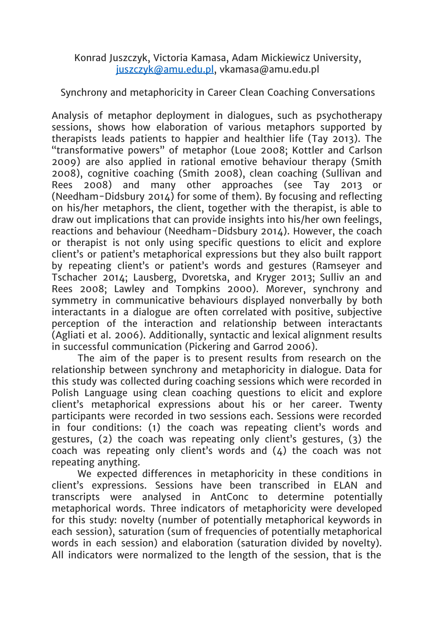Konrad Juszczyk, Victoria Kamasa, Adam Mickiewicz University, [juszczyk@amu.edu.pl,](mailto:juszczyk@amu.edu.pl) vkamasa@amu.edu.pl

Synchrony and metaphoricity in Career Clean Coaching Conversations

Analysis of metaphor deployment in dialogues, such as psychotherapy sessions, shows how elaboration of various metaphors supported by therapists leads patients to happier and healthier life (Tay 2013). The "transformative powers" of metaphor (Loue 2008; Kottler and Carlson 2009) are also applied in rational emotive behaviour therapy (Smith 2008), cognitive coaching (Smith 2008), clean coaching (Sullivan and Rees 2008) and many other approaches (see Tay 2013 or (Needham-Didsbury 2014) for some of them). By focusing and reflecting on his/her metaphors, the client, together with the therapist, is able to draw out implications that can provide insights into his/her own feelings, reactions and behaviour (Needham-Didsbury 2014). However, the coach or therapist is not only using specific questions to elicit and explore client's or patient's metaphorical expressions but they also built rapport by repeating client's or patient's words and gestures (Ramseyer and Tschacher 2014; Lausberg, Dvoretska, and Kryger 2013; Sulliv an and Rees 2008; Lawley and Tompkins 2000). Morever, synchrony and symmetry in communicative behaviours displayed nonverbally by both interactants in a dialogue are often correlated with positive, subjective perception of the interaction and relationship between interactants (Agliati et al. 2006). Additionally, syntactic and lexical alignment results in successful communication (Pickering and Garrod 2006).

The aim of the paper is to present results from research on the relationship between synchrony and metaphoricity in dialogue. Data for this study was collected during coaching sessions which were recorded in Polish Language using clean coaching questions to elicit and explore client's metaphorical expressions about his or her career. Twenty participants were recorded in two sessions each. Sessions were recorded in four conditions: (1) the coach was repeating client's words and gestures, (2) the coach was repeating only client's gestures, (3) the coach was repeating only client's words and  $(4)$  the coach was not repeating anything.

We expected differences in metaphoricity in these conditions in client's expressions. Sessions have been transcribed in ELAN and transcripts were analysed in AntConc to determine potentially metaphorical words. Three indicators of metaphoricity were developed for this study: novelty (number of potentially metaphorical keywords in each session), saturation (sum of frequencies of potentially metaphorical words in each session) and elaboration (saturation divided by novelty). All indicators were normalized to the length of the session, that is the